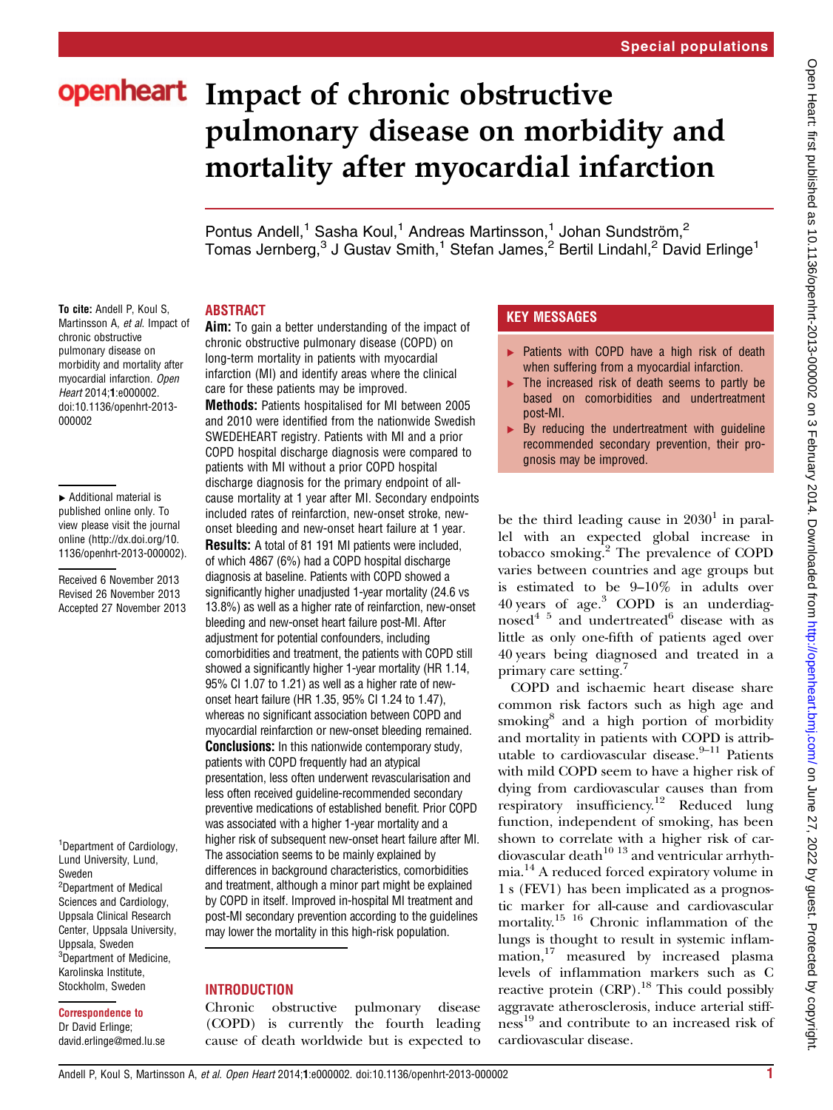# openheart Impact of chronic obstructive pulmonary disease on morbidity and mortality after myocardial infarction

Pontus Andell,<sup>1</sup> Sasha Koul,<sup>1</sup> Andreas Martinsson,<sup>1</sup> Johan Sundström,<sup>2</sup> Tomas Jernberg,<sup>3</sup> J Gustav Smith,<sup>1</sup> Stefan James,<sup>2</sup> Bertil Lindahl,<sup>2</sup> David Erlinge<sup>1</sup>

## ABSTRACT

To cite: Andell P, Koul S, Martinsson A, et al. Impact of chronic obstructive pulmonary disease on morbidity and mortality after myocardial infarction. Open Heart 2014;1:e000002. doi:10.1136/openhrt-2013- 000002

▸ Additional material is published online only. To view please visit the journal online ([http://dx.doi.org/10.](http://dx.doi.org/10.1136/openhrt-2013-000002) [1136/openhrt-2013-000002](http://dx.doi.org/10.1136/openhrt-2013-000002)).

Received 6 November 2013 Revised 26 November 2013 Accepted 27 November 2013

<sup>1</sup> Department of Cardiology, Lund University, Lund, Sweden <sup>2</sup>Department of Medical Sciences and Cardiology, Uppsala Clinical Research Center, Uppsala University, Uppsala, Sweden <sup>3</sup>Department of Medicine, Karolinska Institute, Stockholm, Sweden

#### Correspondence to Dr David Erlinge; david.erlinge@med.lu.se

Aim: To gain a better understanding of the impact of chronic obstructive pulmonary disease (COPD) on long-term mortality in patients with myocardial infarction (MI) and identify areas where the clinical care for these patients may be improved.

Methods: Patients hospitalised for MI between 2005 and 2010 were identified from the nationwide Swedish SWEDEHEART registry. Patients with MI and a prior COPD hospital discharge diagnosis were compared to patients with MI without a prior COPD hospital discharge diagnosis for the primary endpoint of allcause mortality at 1 year after MI. Secondary endpoints included rates of reinfarction, new-onset stroke, newonset bleeding and new-onset heart failure at 1 year.

Results: A total of 81 191 MI patients were included, of which 4867 (6%) had a COPD hospital discharge diagnosis at baseline. Patients with COPD showed a significantly higher unadjusted 1-year mortality (24.6 vs 13.8%) as well as a higher rate of reinfarction, new-onset bleeding and new-onset heart failure post-MI. After adjustment for potential confounders, including comorbidities and treatment, the patients with COPD still showed a significantly higher 1-year mortality (HR 1.14, 95% CI 1.07 to 1.21) as well as a higher rate of newonset heart failure (HR 1.35, 95% CI 1.24 to 1.47), whereas no significant association between COPD and myocardial reinfarction or new-onset bleeding remained. **Conclusions:** In this nationwide contemporary study, patients with COPD frequently had an atypical presentation, less often underwent revascularisation and less often received guideline-recommended secondary preventive medications of established benefit. Prior COPD was associated with a higher 1-year mortality and a higher risk of subsequent new-onset heart failure after MI. The association seems to be mainly explained by differences in background characteristics, comorbidities and treatment, although a minor part might be explained by COPD in itself. Improved in-hospital MI treatment and post-MI secondary prevention according to the guidelines may lower the mortality in this high-risk population.

# **INTRODUCTION**

Chronic obstructive pulmonary disease (COPD) is currently the fourth leading cause of death worldwide but is expected to

# KEY MESSAGES

- ▶ Patients with COPD have a high risk of death when suffering from a myocardial infarction.
- $\blacktriangleright$  The increased risk of death seems to partly be based on comorbidities and undertreatment post-MI.
- $\triangleright$  By reducing the undertreatment with quideline recommended secondary prevention, their prognosis may be improved.

be the third leading cause in  $2030<sup>1</sup>$  in parallel with an expected global increase in tobacco smoking.<sup>2</sup> The prevalence of COPD varies between countries and age groups but is estimated to be 9–10% in adults over 40 years of age.<sup>3</sup> COPD is an underdiagnosed $45$  and undertreated $6$  disease with as little as only one-fifth of patients aged over 40 years being diagnosed and treated in a primary care setting.<sup>7</sup>

COPD and ischaemic heart disease share common risk factors such as high age and smoking<sup>8</sup> and a high portion of morbidity and mortality in patients with COPD is attributable to cardiovascular disease. $9-11$  Patients with mild COPD seem to have a higher risk of dying from cardiovascular causes than from respiratory insufficiency.<sup>12</sup> Reduced lung function, independent of smoking, has been shown to correlate with a higher risk of cardiovascular death $10^{13}$  and ventricular arrhythmia.<sup>14</sup> A reduced forced expiratory volume in 1 s (FEV1) has been implicated as a prognostic marker for all-cause and cardiovascular mortality.<sup>15</sup> <sup>16</sup> Chronic inflammation of the lungs is thought to result in systemic inflammation,<sup>17</sup> measured by increased plasma levels of inflammation markers such as C reactive protein (CRP).<sup>18</sup> This could possibly aggravate atherosclerosis, induce arterial stiffness <sup>19</sup> and contribute to an increased risk of cardiovascular disease.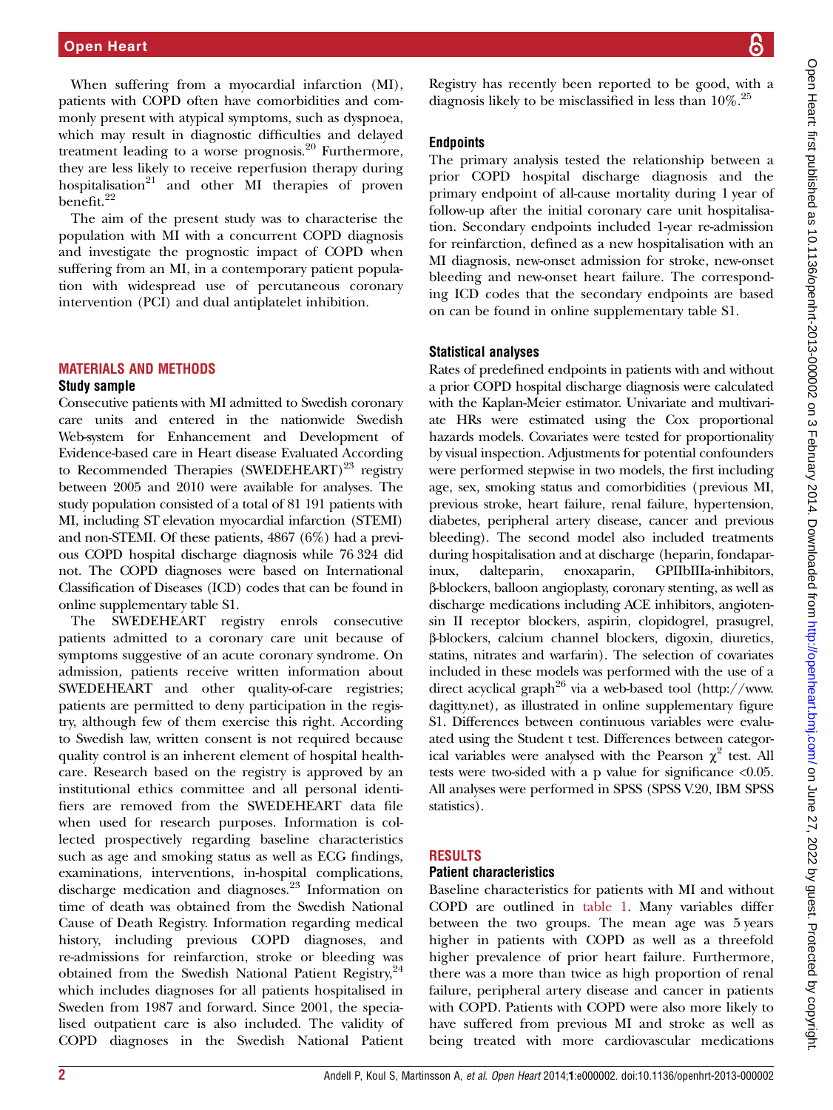When suffering from a myocardial infarction (MI), patients with COPD often have comorbidities and commonly present with atypical symptoms, such as dyspnoea, which may result in diagnostic difficulties and delayed treatment leading to a worse prognosis.<sup>20</sup> Furthermore, they are less likely to receive reperfusion therapy during hospitalisation<sup>21</sup> and other MI therapies of proven benefit.<sup>22</sup>

The aim of the present study was to characterise the population with MI with a concurrent COPD diagnosis and investigate the prognostic impact of COPD when suffering from an MI, in a contemporary patient population with widespread use of percutaneous coronary intervention (PCI) and dual antiplatelet inhibition.

#### MATERIALS AND METHODS Study sample

Consecutive patients with MI admitted to Swedish coronary care units and entered in the nationwide Swedish Web-system for Enhancement and Development of Evidence-based care in Heart disease Evaluated According to Recommended Therapies  $(SWEDEHEART)^{23}$  registry between 2005 and 2010 were available for analyses. The study population consisted of a total of 81 191 patients with MI, including ST elevation myocardial infarction (STEMI) and non-STEMI. Of these patients, 4867 (6%) had a previous COPD hospital discharge diagnosis while 76 324 did not. The COPD diagnoses were based on International Classification of Diseases (ICD) codes that can be found in online supplementary table S1.

The SWEDEHEART registry enrols consecutive patients admitted to a coronary care unit because of symptoms suggestive of an acute coronary syndrome. On admission, patients receive written information about SWEDEHEART and other quality-of-care registries; patients are permitted to deny participation in the registry, although few of them exercise this right. According to Swedish law, written consent is not required because quality control is an inherent element of hospital healthcare. Research based on the registry is approved by an institutional ethics committee and all personal identifiers are removed from the SWEDEHEART data file when used for research purposes. Information is collected prospectively regarding baseline characteristics such as age and smoking status as well as ECG findings, examinations, interventions, in-hospital complications, discharge medication and diagnoses.<sup>23</sup> Information on time of death was obtained from the Swedish National Cause of Death Registry. Information regarding medical history, including previous COPD diagnoses, and re-admissions for reinfarction, stroke or bleeding was obtained from the Swedish National Patient Registry, <sup>24</sup> which includes diagnoses for all patients hospitalised in Sweden from 1987 and forward. Since 2001, the specialised outpatient care is also included. The validity of COPD diagnoses in the Swedish National Patient Registry has recently been reported to be good, with a diagnosis likely to be misclassified in less than  $10\%$ <sup>25</sup>

## **Endpoints**

The primary analysis tested the relationship between a prior COPD hospital discharge diagnosis and the primary endpoint of all-cause mortality during 1 year of follow-up after the initial coronary care unit hospitalisation. Secondary endpoints included 1-year re-admission for reinfarction, defined as a new hospitalisation with an MI diagnosis, new-onset admission for stroke, new-onset bleeding and new-onset heart failure. The corresponding ICD codes that the secondary endpoints are based on can be found in online supplementary table S1.

## Statistical analyses

Rates of predefined endpoints in patients with and without a prior COPD hospital discharge diagnosis were calculated with the Kaplan-Meier estimator. Univariate and multivariate HRs were estimated using the Cox proportional hazards models. Covariates were tested for proportionality by visual inspection. Adjustments for potential confounders were performed stepwise in two models, the first including age, sex, smoking status and comorbidities (previous MI, previous stroke, heart failure, renal failure, hypertension, diabetes, peripheral artery disease, cancer and previous bleeding). The second model also included treatments during hospitalisation and at discharge (heparin, fondaparinux, dalteparin, enoxaparin, GPIIbIIIa-inhibitors, β-blockers, balloon angioplasty, coronary stenting, as well as discharge medications including ACE inhibitors, angiotensin II receptor blockers, aspirin, clopidogrel, prasugrel, β-blockers, calcium channel blockers, digoxin, diuretics, statins, nitrates and warfarin). The selection of covariates included in these models was performed with the use of a direct acyclical graph<sup>26</sup> via a web-based tool [\(http://www.](http://www.dagitty.net) [dagitty.net\)](http://www.dagitty.net), as illustrated in online supplementary figure S1. Differences between continuous variables were evaluated using the Student t test. Differences between categorical variables were analysed with the Pearson  $\chi^2$  test. All tests were two-sided with a p value for significance <0.05. All analyses were performed in SPSS (SPSS V.20, IBM SPSS statistics).

## **RESULTS**

#### Patient characteristics

Baseline characteristics for patients with MI and without COPD are outlined in table 1. Many variables differ between the two groups. The mean age was 5 years higher in patients with COPD as well as a threefold higher prevalence of prior heart failure. Furthermore, there was a more than twice as high proportion of renal failure, peripheral artery disease and cancer in patients with COPD. Patients with COPD were also more likely to have suffered from previous MI and stroke as well as being treated with more cardiovascular medications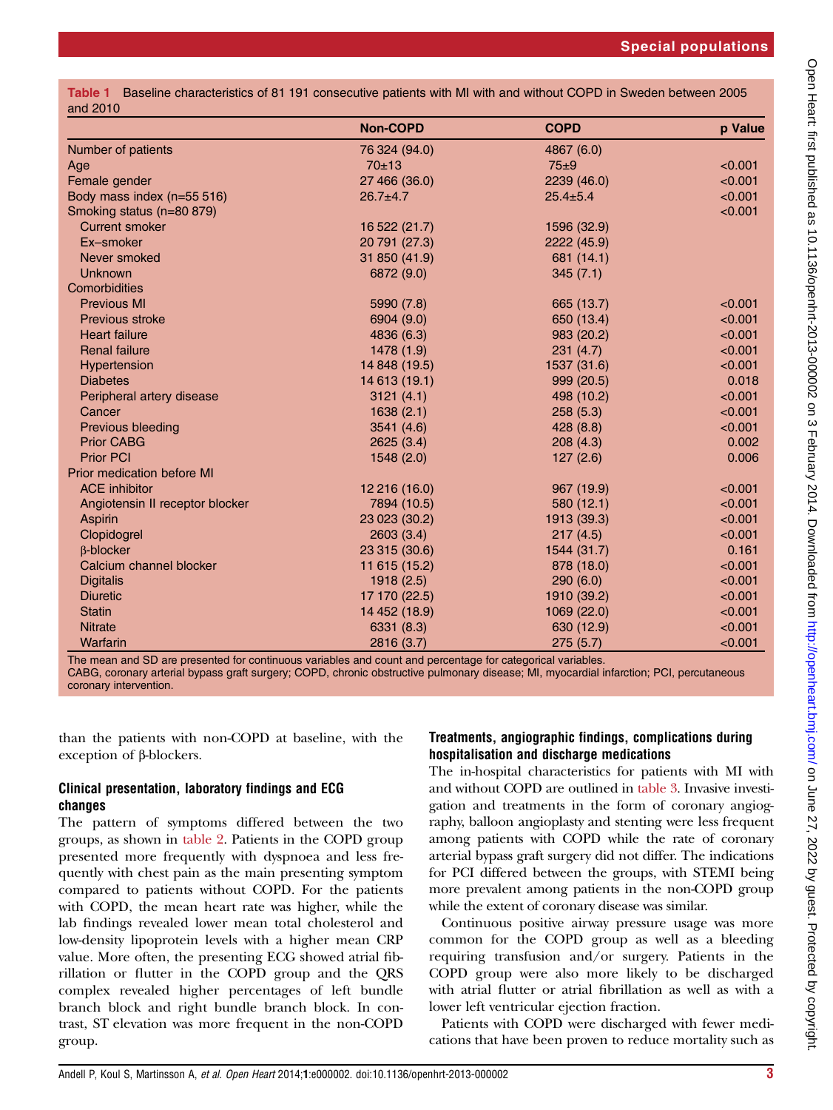|          | Table 1 Baseline characteristics of 81 191 consecutive patients with MI with and without COPD in Sweden between 2005 |  |  |
|----------|----------------------------------------------------------------------------------------------------------------------|--|--|
| and 2010 |                                                                                                                      |  |  |

|                                   | <b>Non-COPD</b> | <b>COPD</b>    | p Value |
|-----------------------------------|-----------------|----------------|---------|
| Number of patients                | 76 324 (94.0)   | 4867 (6.0)     |         |
| Age                               | $70 + 13$       | $75 \pm 9$     | < 0.001 |
| Female gender                     | 27 466 (36.0)   | 2239 (46.0)    | < 0.001 |
| Body mass index (n=55 516)        | $26.7 + 4.7$    | $25.4 \pm 5.4$ | < 0.001 |
| Smoking status (n=80 879)         |                 |                | < 0.001 |
| <b>Current smoker</b>             | 16 522 (21.7)   | 1596 (32.9)    |         |
| Ex-smoker                         | 20 791 (27.3)   | 2222 (45.9)    |         |
| Never smoked                      | 31 850 (41.9)   | 681 (14.1)     |         |
| <b>Unknown</b>                    | 6872 (9.0)      | 345(7.1)       |         |
| Comorbidities                     |                 |                |         |
| <b>Previous MI</b>                | 5990 (7.8)      | 665 (13.7)     | < 0.001 |
| Previous stroke                   | 6904 (9.0)      | 650 (13.4)     | < 0.001 |
| <b>Heart failure</b>              | 4836 (6.3)      | 983 (20.2)     | < 0.001 |
| <b>Renal failure</b>              | 1478 (1.9)      | 231(4.7)       | < 0.001 |
| <b>Hypertension</b>               | 14 848 (19.5)   | 1537 (31.6)    | < 0.001 |
| <b>Diabetes</b>                   | 14 613 (19.1)   | 999 (20.5)     | 0.018   |
| Peripheral artery disease         | 3121(4.1)       | 498 (10.2)     | < 0.001 |
| Cancer                            | 1638(2.1)       | 258(5.3)       | < 0.001 |
| Previous bleeding                 | 3541 (4.6)      | 428 (8.8)      | < 0.001 |
| <b>Prior CABG</b>                 | 2625(3.4)       | 208(4.3)       | 0.002   |
| <b>Prior PCI</b>                  | 1548 (2.0)      | 127(2.6)       | 0.006   |
| <b>Prior medication before MI</b> |                 |                |         |
| <b>ACE</b> inhibitor              | 12 216 (16.0)   | 967 (19.9)     | < 0.001 |
| Angiotensin II receptor blocker   | 7894 (10.5)     | 580 (12.1)     | < 0.001 |
| <b>Aspirin</b>                    | 23 023 (30.2)   | 1913 (39.3)    | < 0.001 |
| Clopidogrel                       | 2603(3.4)       | 217(4.5)       | < 0.001 |
| <b>B-blocker</b>                  | 23 315 (30.6)   | 1544 (31.7)    | 0.161   |
| Calcium channel blocker           | 11 615 (15.2)   | 878 (18.0)     | < 0.001 |
| <b>Digitalis</b>                  | 1918(2.5)       | 290(6.0)       | < 0.001 |
| <b>Diuretic</b>                   | 17 170 (22.5)   | 1910 (39.2)    | < 0.001 |
| <b>Statin</b>                     | 14 452 (18.9)   | 1069 (22.0)    | < 0.001 |
| <b>Nitrate</b>                    | 6331 (8.3)      | 630 (12.9)     | < 0.001 |
| Warfarin                          | 2816 (3.7)      | 275(5.7)       | < 0.001 |

The mean and SD are presented for continuous variables and count and percentage for categorical variables. CABG, coronary arterial bypass graft surgery; COPD, chronic obstructive pulmonary disease; MI, myocardial infarction; PCI, percutaneous coronary intervention.

than the patients with non-COPD at baseline, with the exception of β-blockers.

## Clinical presentation, laboratory findings and ECG changes

The pattern of symptoms differed between the two groups, as shown in table 2. Patients in the COPD group presented more frequently with dyspnoea and less frequently with chest pain as the main presenting symptom compared to patients without COPD. For the patients with COPD, the mean heart rate was higher, while the lab findings revealed lower mean total cholesterol and low-density lipoprotein levels with a higher mean CRP value. More often, the presenting ECG showed atrial fibrillation or flutter in the COPD group and the QRS complex revealed higher percentages of left bundle branch block and right bundle branch block. In contrast, ST elevation was more frequent in the non-COPD group.

## Treatments, angiographic findings, complications during hospitalisation and discharge medications

The in-hospital characteristics for patients with MI with and without COPD are outlined in table 3. Invasive investigation and treatments in the form of coronary angiography, balloon angioplasty and stenting were less frequent among patients with COPD while the rate of coronary arterial bypass graft surgery did not differ. The indications for PCI differed between the groups, with STEMI being more prevalent among patients in the non-COPD group while the extent of coronary disease was similar.

Continuous positive airway pressure usage was more common for the COPD group as well as a bleeding requiring transfusion and/or surgery. Patients in the COPD group were also more likely to be discharged with atrial flutter or atrial fibrillation as well as with a lower left ventricular ejection fraction.

Patients with COPD were discharged with fewer medications that have been proven to reduce mortality such as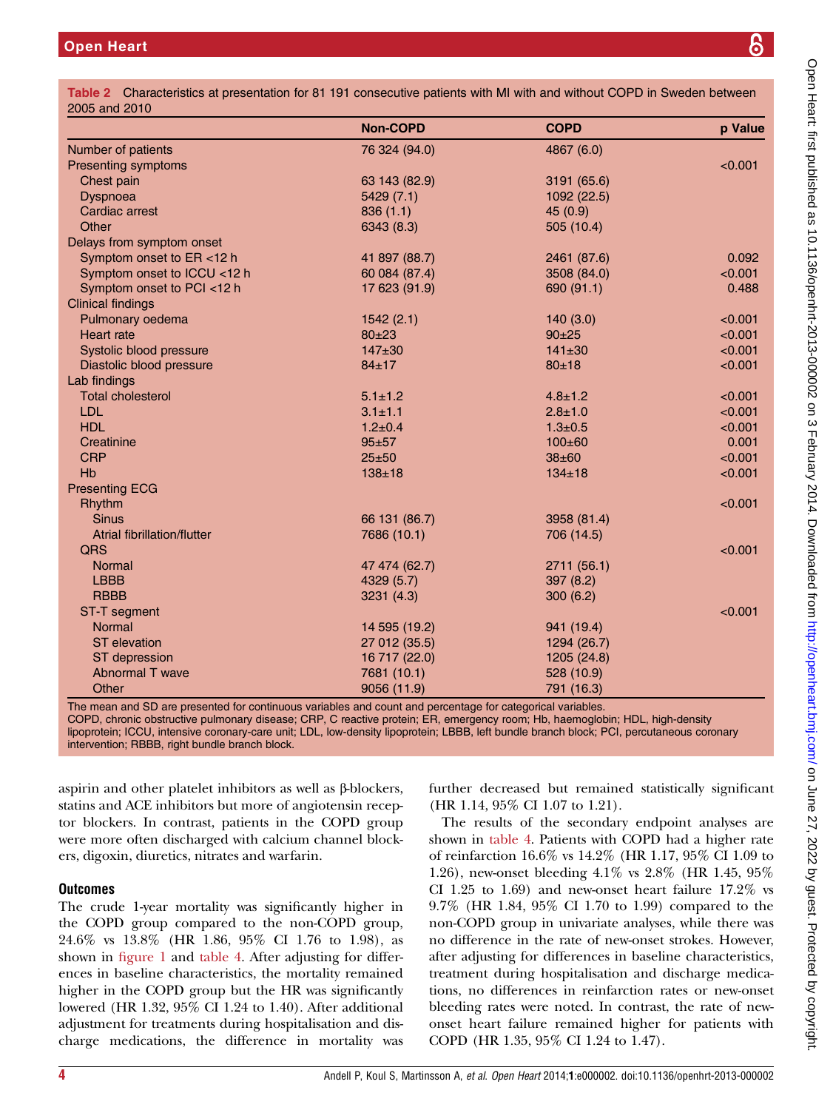|                                    | <b>Non-COPD</b> | <b>COPD</b>   | p Value |
|------------------------------------|-----------------|---------------|---------|
| Number of patients                 | 76 324 (94.0)   | 4867 (6.0)    |         |
| <b>Presenting symptoms</b>         |                 |               | < 0.001 |
| Chest pain                         | 63 143 (82.9)   | 3191 (65.6)   |         |
| Dyspnoea                           | 5429(7.1)       | 1092 (22.5)   |         |
| Cardiac arrest                     | 836(1.1)        | 45 (0.9)      |         |
| Other                              | 6343 (8.3)      | 505 (10.4)    |         |
| Delays from symptom onset          |                 |               |         |
| Symptom onset to ER <12 h          | 41 897 (88.7)   | 2461 (87.6)   | 0.092   |
| Symptom onset to ICCU <12 h        | 60 084 (87.4)   | 3508 (84.0)   | < 0.001 |
| Symptom onset to PCI <12 h         | 17 623 (91.9)   | 690 (91.1)    | 0.488   |
| <b>Clinical findings</b>           |                 |               |         |
| Pulmonary oedema                   | 1542(2.1)       | 140(3.0)      | < 0.001 |
| <b>Heart</b> rate                  | $80 + 23$       | $90+25$       | < 0.001 |
| Systolic blood pressure            | $147 + 30$      | $141 \pm 30$  | < 0.001 |
| Diastolic blood pressure           | $84 + 17$       | $80 + 18$     | < 0.001 |
| Lab findings                       |                 |               |         |
| <b>Total cholesterol</b>           | $5.1 \pm 1.2$   | $4.8 \pm 1.2$ | < 0.001 |
| <b>LDL</b>                         | $3.1 \pm 1.1$   | $2.8 + 1.0$   | < 0.001 |
| <b>HDL</b>                         | $1.2 \pm 0.4$   | $1.3 \pm 0.5$ | < 0.001 |
| Creatinine                         | $95 + 57$       | $100 \pm 60$  | 0.001   |
| <b>CRP</b>                         | $25 + 50$       | $38 + 60$     | < 0.001 |
| Hb                                 | $138 + 18$      | $134 \pm 18$  | < 0.001 |
| <b>Presenting ECG</b>              |                 |               |         |
| Rhythm                             |                 |               | < 0.001 |
| <b>Sinus</b>                       | 66 131 (86.7)   | 3958 (81.4)   |         |
| <b>Atrial fibrillation/flutter</b> | 7686 (10.1)     | 706 (14.5)    |         |
| QRS                                |                 |               | < 0.001 |
| Normal                             | 47 474 (62.7)   | 2711 (56.1)   |         |
| <b>LBBB</b>                        | 4329 (5.7)      | 397 (8.2)     |         |
| <b>RBBB</b>                        | 3231(4.3)       | 300(6.2)      |         |
| <b>ST-T</b> segment                |                 |               | < 0.001 |
| <b>Normal</b>                      | 14 595 (19.2)   | 941 (19.4)    |         |
| <b>ST</b> elevation                | 27 012 (35.5)   | 1294 (26.7)   |         |
| ST depression                      | 16 717 (22.0)   | 1205 (24.8)   |         |
| Abnormal T wave                    | 7681 (10.1)     | 528 (10.9)    |         |
| Other                              | 9056 (11.9)     | 791 (16.3)    |         |

The mean and SD are presented for continuous variables and count and percentage for categorical variables.

COPD, chronic obstructive pulmonary disease; CRP, C reactive protein; ER, emergency room; Hb, haemoglobin; HDL, high-density lipoprotein; ICCU, intensive coronary-care unit; LDL, low-density lipoprotein; LBBB, left bundle branch block; PCI, percutaneous coronary

intervention; RBBB, right bundle branch block.

aspirin and other platelet inhibitors as well as β-blockers, statins and ACE inhibitors but more of angiotensin receptor blockers. In contrast, patients in the COPD group were more often discharged with calcium channel blockers, digoxin, diuretics, nitrates and warfarin.

# **Outcomes**

The crude 1-year mortality was significantly higher in the COPD group compared to the non-COPD group, 24.6% vs 13.8% (HR 1.86, 95% CI 1.76 to 1.98), as shown in figure 1 and table 4. After adjusting for differences in baseline characteristics, the mortality remained higher in the COPD group but the HR was significantly lowered (HR 1.32, 95% CI 1.24 to 1.40). After additional adjustment for treatments during hospitalisation and discharge medications, the difference in mortality was further decreased but remained statistically significant (HR 1.14, 95% CI 1.07 to 1.21).

The results of the secondary endpoint analyses are shown in table 4. Patients with COPD had a higher rate of reinfarction 16.6% vs 14.2% (HR 1.17, 95% CI 1.09 to 1.26), new-onset bleeding 4.1% vs 2.8% (HR 1.45, 95% CI 1.25 to 1.69) and new-onset heart failure 17.2% vs 9.7% (HR 1.84, 95% CI 1.70 to 1.99) compared to the non-COPD group in univariate analyses, while there was no difference in the rate of new-onset strokes. However, after adjusting for differences in baseline characteristics, treatment during hospitalisation and discharge medications, no differences in reinfarction rates or new-onset bleeding rates were noted. In contrast, the rate of newonset heart failure remained higher for patients with COPD (HR 1.35, 95% CI 1.24 to 1.47).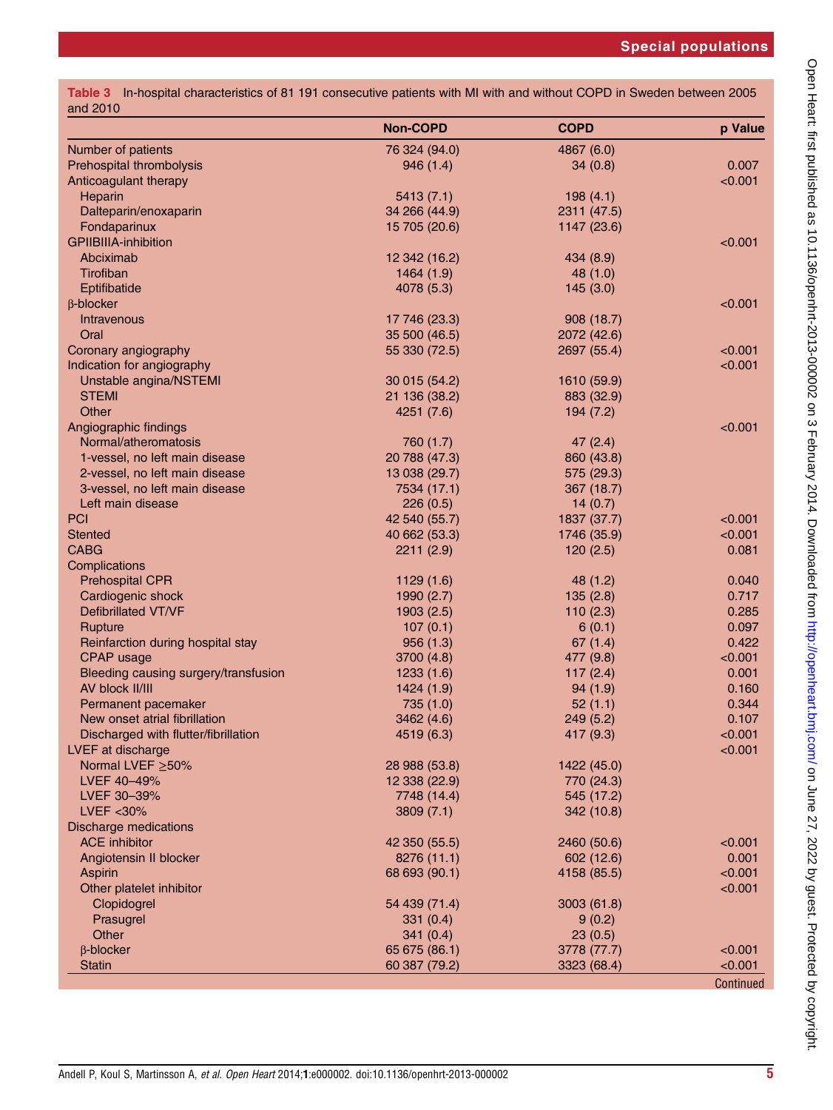|          | Table 3 In-hospital characteristics of 81 191 consecutive patients with MI with and without COPD in Sweden between 2005 |  |  |  |  |  |
|----------|-------------------------------------------------------------------------------------------------------------------------|--|--|--|--|--|
| and 2010 |                                                                                                                         |  |  |  |  |  |

| Number of patients<br>76 324 (94.0)<br>4867 (6.0)<br>Prehospital thrombolysis<br>0.007<br>946(1.4)<br>34(0.8)<br>< 0.001<br>Anticoagulant therapy<br>Heparin<br>5413(7.1)<br>198(4.1)<br>Dalteparin/enoxaparin<br>34 266 (44.9)<br>2311 (47.5)<br>Fondaparinux<br>15 705 (20.6)<br>1147 (23.6)<br><b>GPIIBIIIA-inhibition</b><br>< 0.001<br>Abciximab<br>12 342 (16.2)<br>434 (8.9)<br>Tirofiban<br>1464(1.9)<br>48 (1.0)<br>4078 (5.3)<br>Eptifibatide<br>145(3.0)<br>< 0.001<br>$\beta$ -blocker<br>Intravenous<br>17 746 (23.3)<br>908 (18.7)<br>Oral<br>35 500 (46.5)<br>2072 (42.6)<br>Coronary angiography<br>55 330 (72.5)<br>2697 (55.4)<br>< 0.001<br>Indication for angiography<br>< 0.001<br>Unstable angina/NSTEMI<br>30 015 (54.2)<br>1610 (59.9)<br><b>STEMI</b><br>21 136 (38.2)<br>883 (32.9)<br>Other<br>4251 (7.6)<br>194(7.2)<br>Angiographic findings<br>< 0.001<br>Normal/atheromatosis<br>760 (1.7)<br>47(2.4)<br>1-vessel, no left main disease<br>20 788 (47.3)<br>860 (43.8)<br>2-vessel, no left main disease<br>13 038 (29.7)<br>575 (29.3)<br>3-vessel, no left main disease<br>7534 (17.1)<br>367(18.7)<br>Left main disease<br>226(0.5)<br>14(0.7)<br><b>PCI</b><br>42 540 (55.7)<br>1837 (37.7)<br>< 0.001<br>< 0.001<br><b>Stented</b><br>40 662 (53.3)<br>1746 (35.9)<br><b>CABG</b><br>0.081<br>2211(2.9)<br>120(2.5)<br>Complications<br><b>Prehospital CPR</b><br>1129(1.6)<br>48 (1.2)<br>0.040<br>0.717<br>Cardiogenic shock<br>1990(2.7)<br>135(2.8)<br><b>Defibrillated VT/VF</b><br>0.285<br>1903(2.5)<br>110(2.3)<br>0.097<br>Rupture<br>107(0.1)<br>6(0.1)<br>0.422<br>956(1.3)<br>Reinfarction during hospital stay<br>67(1.4)<br>< 0.001<br>CPAP usage<br>3700 (4.8)<br>477 (9.8)<br>Bleeding causing surgery/transfusion<br>117(2.4)<br>0.001<br>1233(1.6)<br>AV block II/III<br>0.160<br>1424(1.9)<br>94(1.9) |
|--------------------------------------------------------------------------------------------------------------------------------------------------------------------------------------------------------------------------------------------------------------------------------------------------------------------------------------------------------------------------------------------------------------------------------------------------------------------------------------------------------------------------------------------------------------------------------------------------------------------------------------------------------------------------------------------------------------------------------------------------------------------------------------------------------------------------------------------------------------------------------------------------------------------------------------------------------------------------------------------------------------------------------------------------------------------------------------------------------------------------------------------------------------------------------------------------------------------------------------------------------------------------------------------------------------------------------------------------------------------------------------------------------------------------------------------------------------------------------------------------------------------------------------------------------------------------------------------------------------------------------------------------------------------------------------------------------------------------------------------------------------------------------------------------------------------------------------------------------------|
|                                                                                                                                                                                                                                                                                                                                                                                                                                                                                                                                                                                                                                                                                                                                                                                                                                                                                                                                                                                                                                                                                                                                                                                                                                                                                                                                                                                                                                                                                                                                                                                                                                                                                                                                                                                                                                                              |
|                                                                                                                                                                                                                                                                                                                                                                                                                                                                                                                                                                                                                                                                                                                                                                                                                                                                                                                                                                                                                                                                                                                                                                                                                                                                                                                                                                                                                                                                                                                                                                                                                                                                                                                                                                                                                                                              |
|                                                                                                                                                                                                                                                                                                                                                                                                                                                                                                                                                                                                                                                                                                                                                                                                                                                                                                                                                                                                                                                                                                                                                                                                                                                                                                                                                                                                                                                                                                                                                                                                                                                                                                                                                                                                                                                              |
|                                                                                                                                                                                                                                                                                                                                                                                                                                                                                                                                                                                                                                                                                                                                                                                                                                                                                                                                                                                                                                                                                                                                                                                                                                                                                                                                                                                                                                                                                                                                                                                                                                                                                                                                                                                                                                                              |
|                                                                                                                                                                                                                                                                                                                                                                                                                                                                                                                                                                                                                                                                                                                                                                                                                                                                                                                                                                                                                                                                                                                                                                                                                                                                                                                                                                                                                                                                                                                                                                                                                                                                                                                                                                                                                                                              |
|                                                                                                                                                                                                                                                                                                                                                                                                                                                                                                                                                                                                                                                                                                                                                                                                                                                                                                                                                                                                                                                                                                                                                                                                                                                                                                                                                                                                                                                                                                                                                                                                                                                                                                                                                                                                                                                              |
|                                                                                                                                                                                                                                                                                                                                                                                                                                                                                                                                                                                                                                                                                                                                                                                                                                                                                                                                                                                                                                                                                                                                                                                                                                                                                                                                                                                                                                                                                                                                                                                                                                                                                                                                                                                                                                                              |
|                                                                                                                                                                                                                                                                                                                                                                                                                                                                                                                                                                                                                                                                                                                                                                                                                                                                                                                                                                                                                                                                                                                                                                                                                                                                                                                                                                                                                                                                                                                                                                                                                                                                                                                                                                                                                                                              |
|                                                                                                                                                                                                                                                                                                                                                                                                                                                                                                                                                                                                                                                                                                                                                                                                                                                                                                                                                                                                                                                                                                                                                                                                                                                                                                                                                                                                                                                                                                                                                                                                                                                                                                                                                                                                                                                              |
|                                                                                                                                                                                                                                                                                                                                                                                                                                                                                                                                                                                                                                                                                                                                                                                                                                                                                                                                                                                                                                                                                                                                                                                                                                                                                                                                                                                                                                                                                                                                                                                                                                                                                                                                                                                                                                                              |
|                                                                                                                                                                                                                                                                                                                                                                                                                                                                                                                                                                                                                                                                                                                                                                                                                                                                                                                                                                                                                                                                                                                                                                                                                                                                                                                                                                                                                                                                                                                                                                                                                                                                                                                                                                                                                                                              |
|                                                                                                                                                                                                                                                                                                                                                                                                                                                                                                                                                                                                                                                                                                                                                                                                                                                                                                                                                                                                                                                                                                                                                                                                                                                                                                                                                                                                                                                                                                                                                                                                                                                                                                                                                                                                                                                              |
|                                                                                                                                                                                                                                                                                                                                                                                                                                                                                                                                                                                                                                                                                                                                                                                                                                                                                                                                                                                                                                                                                                                                                                                                                                                                                                                                                                                                                                                                                                                                                                                                                                                                                                                                                                                                                                                              |
|                                                                                                                                                                                                                                                                                                                                                                                                                                                                                                                                                                                                                                                                                                                                                                                                                                                                                                                                                                                                                                                                                                                                                                                                                                                                                                                                                                                                                                                                                                                                                                                                                                                                                                                                                                                                                                                              |
|                                                                                                                                                                                                                                                                                                                                                                                                                                                                                                                                                                                                                                                                                                                                                                                                                                                                                                                                                                                                                                                                                                                                                                                                                                                                                                                                                                                                                                                                                                                                                                                                                                                                                                                                                                                                                                                              |
|                                                                                                                                                                                                                                                                                                                                                                                                                                                                                                                                                                                                                                                                                                                                                                                                                                                                                                                                                                                                                                                                                                                                                                                                                                                                                                                                                                                                                                                                                                                                                                                                                                                                                                                                                                                                                                                              |
|                                                                                                                                                                                                                                                                                                                                                                                                                                                                                                                                                                                                                                                                                                                                                                                                                                                                                                                                                                                                                                                                                                                                                                                                                                                                                                                                                                                                                                                                                                                                                                                                                                                                                                                                                                                                                                                              |
|                                                                                                                                                                                                                                                                                                                                                                                                                                                                                                                                                                                                                                                                                                                                                                                                                                                                                                                                                                                                                                                                                                                                                                                                                                                                                                                                                                                                                                                                                                                                                                                                                                                                                                                                                                                                                                                              |
|                                                                                                                                                                                                                                                                                                                                                                                                                                                                                                                                                                                                                                                                                                                                                                                                                                                                                                                                                                                                                                                                                                                                                                                                                                                                                                                                                                                                                                                                                                                                                                                                                                                                                                                                                                                                                                                              |
|                                                                                                                                                                                                                                                                                                                                                                                                                                                                                                                                                                                                                                                                                                                                                                                                                                                                                                                                                                                                                                                                                                                                                                                                                                                                                                                                                                                                                                                                                                                                                                                                                                                                                                                                                                                                                                                              |
|                                                                                                                                                                                                                                                                                                                                                                                                                                                                                                                                                                                                                                                                                                                                                                                                                                                                                                                                                                                                                                                                                                                                                                                                                                                                                                                                                                                                                                                                                                                                                                                                                                                                                                                                                                                                                                                              |
|                                                                                                                                                                                                                                                                                                                                                                                                                                                                                                                                                                                                                                                                                                                                                                                                                                                                                                                                                                                                                                                                                                                                                                                                                                                                                                                                                                                                                                                                                                                                                                                                                                                                                                                                                                                                                                                              |
|                                                                                                                                                                                                                                                                                                                                                                                                                                                                                                                                                                                                                                                                                                                                                                                                                                                                                                                                                                                                                                                                                                                                                                                                                                                                                                                                                                                                                                                                                                                                                                                                                                                                                                                                                                                                                                                              |
|                                                                                                                                                                                                                                                                                                                                                                                                                                                                                                                                                                                                                                                                                                                                                                                                                                                                                                                                                                                                                                                                                                                                                                                                                                                                                                                                                                                                                                                                                                                                                                                                                                                                                                                                                                                                                                                              |
|                                                                                                                                                                                                                                                                                                                                                                                                                                                                                                                                                                                                                                                                                                                                                                                                                                                                                                                                                                                                                                                                                                                                                                                                                                                                                                                                                                                                                                                                                                                                                                                                                                                                                                                                                                                                                                                              |
|                                                                                                                                                                                                                                                                                                                                                                                                                                                                                                                                                                                                                                                                                                                                                                                                                                                                                                                                                                                                                                                                                                                                                                                                                                                                                                                                                                                                                                                                                                                                                                                                                                                                                                                                                                                                                                                              |
|                                                                                                                                                                                                                                                                                                                                                                                                                                                                                                                                                                                                                                                                                                                                                                                                                                                                                                                                                                                                                                                                                                                                                                                                                                                                                                                                                                                                                                                                                                                                                                                                                                                                                                                                                                                                                                                              |
|                                                                                                                                                                                                                                                                                                                                                                                                                                                                                                                                                                                                                                                                                                                                                                                                                                                                                                                                                                                                                                                                                                                                                                                                                                                                                                                                                                                                                                                                                                                                                                                                                                                                                                                                                                                                                                                              |
|                                                                                                                                                                                                                                                                                                                                                                                                                                                                                                                                                                                                                                                                                                                                                                                                                                                                                                                                                                                                                                                                                                                                                                                                                                                                                                                                                                                                                                                                                                                                                                                                                                                                                                                                                                                                                                                              |
|                                                                                                                                                                                                                                                                                                                                                                                                                                                                                                                                                                                                                                                                                                                                                                                                                                                                                                                                                                                                                                                                                                                                                                                                                                                                                                                                                                                                                                                                                                                                                                                                                                                                                                                                                                                                                                                              |
|                                                                                                                                                                                                                                                                                                                                                                                                                                                                                                                                                                                                                                                                                                                                                                                                                                                                                                                                                                                                                                                                                                                                                                                                                                                                                                                                                                                                                                                                                                                                                                                                                                                                                                                                                                                                                                                              |
|                                                                                                                                                                                                                                                                                                                                                                                                                                                                                                                                                                                                                                                                                                                                                                                                                                                                                                                                                                                                                                                                                                                                                                                                                                                                                                                                                                                                                                                                                                                                                                                                                                                                                                                                                                                                                                                              |
|                                                                                                                                                                                                                                                                                                                                                                                                                                                                                                                                                                                                                                                                                                                                                                                                                                                                                                                                                                                                                                                                                                                                                                                                                                                                                                                                                                                                                                                                                                                                                                                                                                                                                                                                                                                                                                                              |
|                                                                                                                                                                                                                                                                                                                                                                                                                                                                                                                                                                                                                                                                                                                                                                                                                                                                                                                                                                                                                                                                                                                                                                                                                                                                                                                                                                                                                                                                                                                                                                                                                                                                                                                                                                                                                                                              |
|                                                                                                                                                                                                                                                                                                                                                                                                                                                                                                                                                                                                                                                                                                                                                                                                                                                                                                                                                                                                                                                                                                                                                                                                                                                                                                                                                                                                                                                                                                                                                                                                                                                                                                                                                                                                                                                              |
|                                                                                                                                                                                                                                                                                                                                                                                                                                                                                                                                                                                                                                                                                                                                                                                                                                                                                                                                                                                                                                                                                                                                                                                                                                                                                                                                                                                                                                                                                                                                                                                                                                                                                                                                                                                                                                                              |
| Permanent pacemaker<br>735 (1.0)<br>0.344<br>52(1.1)                                                                                                                                                                                                                                                                                                                                                                                                                                                                                                                                                                                                                                                                                                                                                                                                                                                                                                                                                                                                                                                                                                                                                                                                                                                                                                                                                                                                                                                                                                                                                                                                                                                                                                                                                                                                         |
| New onset atrial fibrillation<br>0.107<br>3462 (4.6)<br>249(5.2)                                                                                                                                                                                                                                                                                                                                                                                                                                                                                                                                                                                                                                                                                                                                                                                                                                                                                                                                                                                                                                                                                                                                                                                                                                                                                                                                                                                                                                                                                                                                                                                                                                                                                                                                                                                             |
| 417 (9.3)<br>< 0.001<br>Discharged with flutter/fibrillation<br>4519 (6.3)<br>< 0.001                                                                                                                                                                                                                                                                                                                                                                                                                                                                                                                                                                                                                                                                                                                                                                                                                                                                                                                                                                                                                                                                                                                                                                                                                                                                                                                                                                                                                                                                                                                                                                                                                                                                                                                                                                        |
| LVEF at discharge                                                                                                                                                                                                                                                                                                                                                                                                                                                                                                                                                                                                                                                                                                                                                                                                                                                                                                                                                                                                                                                                                                                                                                                                                                                                                                                                                                                                                                                                                                                                                                                                                                                                                                                                                                                                                                            |
| Normal LVEF ≥50%<br>28 988 (53.8)<br>1422 (45.0)                                                                                                                                                                                                                                                                                                                                                                                                                                                                                                                                                                                                                                                                                                                                                                                                                                                                                                                                                                                                                                                                                                                                                                                                                                                                                                                                                                                                                                                                                                                                                                                                                                                                                                                                                                                                             |
| 770 (24.3)<br>LVEF 40-49%<br>12 338 (22.9)<br>LVEF 30-39%                                                                                                                                                                                                                                                                                                                                                                                                                                                                                                                                                                                                                                                                                                                                                                                                                                                                                                                                                                                                                                                                                                                                                                                                                                                                                                                                                                                                                                                                                                                                                                                                                                                                                                                                                                                                    |
| 7748 (14.4)<br>545 (17.2)<br>$LVEF < 30\%$                                                                                                                                                                                                                                                                                                                                                                                                                                                                                                                                                                                                                                                                                                                                                                                                                                                                                                                                                                                                                                                                                                                                                                                                                                                                                                                                                                                                                                                                                                                                                                                                                                                                                                                                                                                                                   |
| 3809(7.1)<br>342 (10.8)<br><b>Discharge medications</b>                                                                                                                                                                                                                                                                                                                                                                                                                                                                                                                                                                                                                                                                                                                                                                                                                                                                                                                                                                                                                                                                                                                                                                                                                                                                                                                                                                                                                                                                                                                                                                                                                                                                                                                                                                                                      |
| <b>ACE</b> inhibitor<br>< 0.001<br>42 350 (55.5)<br>2460 (50.6)                                                                                                                                                                                                                                                                                                                                                                                                                                                                                                                                                                                                                                                                                                                                                                                                                                                                                                                                                                                                                                                                                                                                                                                                                                                                                                                                                                                                                                                                                                                                                                                                                                                                                                                                                                                              |
| 0.001<br>Angiotensin II blocker<br>8276 (11.1)<br>602 (12.6)                                                                                                                                                                                                                                                                                                                                                                                                                                                                                                                                                                                                                                                                                                                                                                                                                                                                                                                                                                                                                                                                                                                                                                                                                                                                                                                                                                                                                                                                                                                                                                                                                                                                                                                                                                                                 |
| < 0.001<br><b>Aspirin</b><br>68 693 (90.1)<br>4158 (85.5)                                                                                                                                                                                                                                                                                                                                                                                                                                                                                                                                                                                                                                                                                                                                                                                                                                                                                                                                                                                                                                                                                                                                                                                                                                                                                                                                                                                                                                                                                                                                                                                                                                                                                                                                                                                                    |
| Other platelet inhibitor<br>< 0.001                                                                                                                                                                                                                                                                                                                                                                                                                                                                                                                                                                                                                                                                                                                                                                                                                                                                                                                                                                                                                                                                                                                                                                                                                                                                                                                                                                                                                                                                                                                                                                                                                                                                                                                                                                                                                          |
| Clopidogrel<br>54 439 (71.4)<br>3003 (61.8)                                                                                                                                                                                                                                                                                                                                                                                                                                                                                                                                                                                                                                                                                                                                                                                                                                                                                                                                                                                                                                                                                                                                                                                                                                                                                                                                                                                                                                                                                                                                                                                                                                                                                                                                                                                                                  |
| Prasugrel<br>331(0.4)<br>9(0.2)                                                                                                                                                                                                                                                                                                                                                                                                                                                                                                                                                                                                                                                                                                                                                                                                                                                                                                                                                                                                                                                                                                                                                                                                                                                                                                                                                                                                                                                                                                                                                                                                                                                                                                                                                                                                                              |
| Other<br>341(0.4)<br>23(0.5)                                                                                                                                                                                                                                                                                                                                                                                                                                                                                                                                                                                                                                                                                                                                                                                                                                                                                                                                                                                                                                                                                                                                                                                                                                                                                                                                                                                                                                                                                                                                                                                                                                                                                                                                                                                                                                 |
| $\beta$ -blocker<br>< 0.001<br>65 675 (86.1)<br>3778 (77.7)                                                                                                                                                                                                                                                                                                                                                                                                                                                                                                                                                                                                                                                                                                                                                                                                                                                                                                                                                                                                                                                                                                                                                                                                                                                                                                                                                                                                                                                                                                                                                                                                                                                                                                                                                                                                  |
| <b>Statin</b><br>60 387 (79.2)<br>3323 (68.4)<br>< 0.001                                                                                                                                                                                                                                                                                                                                                                                                                                                                                                                                                                                                                                                                                                                                                                                                                                                                                                                                                                                                                                                                                                                                                                                                                                                                                                                                                                                                                                                                                                                                                                                                                                                                                                                                                                                                     |
| Continued                                                                                                                                                                                                                                                                                                                                                                                                                                                                                                                                                                                                                                                                                                                                                                                                                                                                                                                                                                                                                                                                                                                                                                                                                                                                                                                                                                                                                                                                                                                                                                                                                                                                                                                                                                                                                                                    |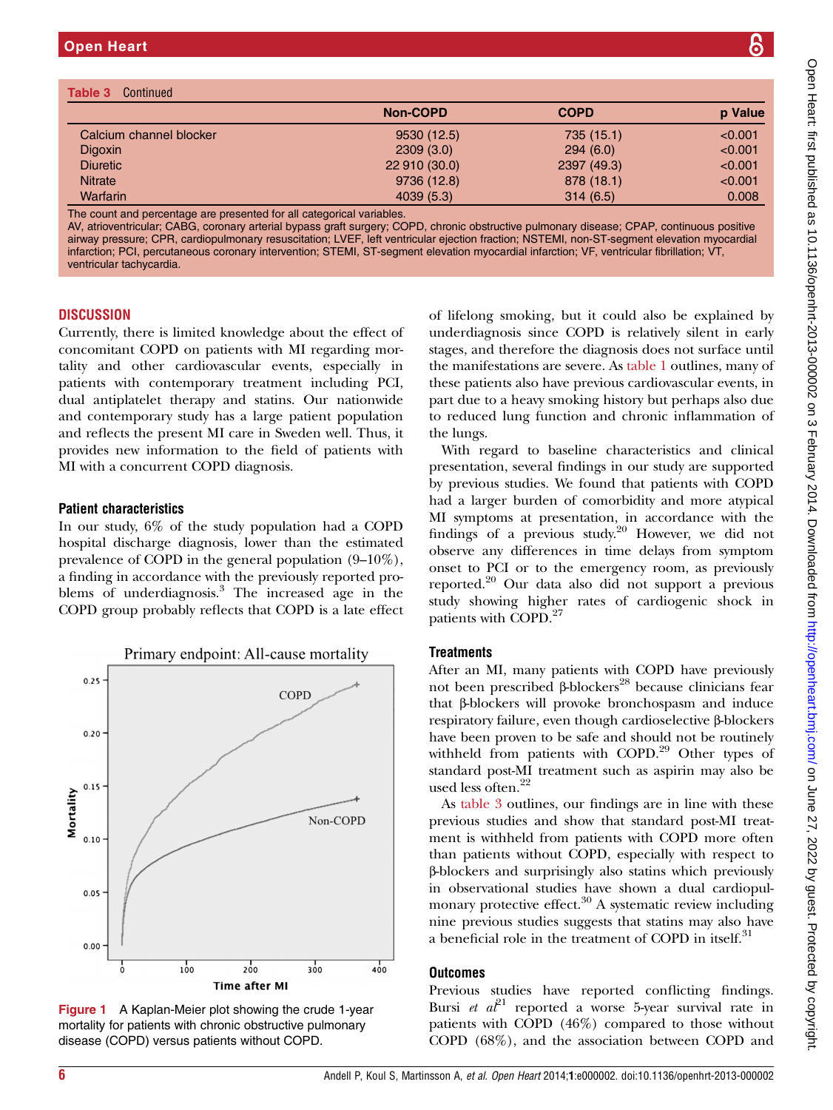Ta

|                                                                                                                                                                                                                                                                                                                                                                                                                                                                                                                                            | <b>Non-COPD</b> | <b>COPD</b> | p Value |
|--------------------------------------------------------------------------------------------------------------------------------------------------------------------------------------------------------------------------------------------------------------------------------------------------------------------------------------------------------------------------------------------------------------------------------------------------------------------------------------------------------------------------------------------|-----------------|-------------|---------|
| Calcium channel blocker                                                                                                                                                                                                                                                                                                                                                                                                                                                                                                                    | 9530 (12.5)     | 735 (15.1)  | < 0.001 |
| <b>Digoxin</b>                                                                                                                                                                                                                                                                                                                                                                                                                                                                                                                             | 2309(3.0)       | 294(6.0)    | < 0.001 |
| <b>Diuretic</b>                                                                                                                                                                                                                                                                                                                                                                                                                                                                                                                            | 22 910 (30.0)   | 2397 (49.3) | < 0.001 |
| <b>Nitrate</b>                                                                                                                                                                                                                                                                                                                                                                                                                                                                                                                             | 9736 (12.8)     | 878 (18.1)  | < 0.001 |
| <b>Warfarin</b>                                                                                                                                                                                                                                                                                                                                                                                                                                                                                                                            | 4039(5.3)       | 314(6.5)    | 0.008   |
| The count and percentage are presented for all categorical variables.<br>AV, atrioventricular; CABG, coronary arterial bypass graft surgery; COPD, chronic obstructive pulmonary disease; CPAP, continuous positive<br>airway pressure; CPR, cardiopulmonary resuscitation; LVEF, left ventricular ejection fraction; NSTEMI, non-ST-segment elevation myocardial<br>infarction; PCI, percutaneous coronary intervention; STEMI, ST-segment elevation myocardial infarction; VF, ventricular fibrillation; VT,<br>ventricular tachycardia. |                 |             |         |

#### **DISCUSSION**

ven

Currently, there is limited knowledge about the effect of concomitant COPD on patients with MI regarding mortality and other cardiovascular events, especially in patients with contemporary treatment including PCI, dual antiplatelet therapy and statins. Our nationwide and contemporary study has a large patient population and reflects the present MI care in Sweden well. Thus, it provides new information to the field of patients with MI with a concurrent COPD diagnosis.

## Patient characteristics

In our study, 6% of the study population had a COPD hospital discharge diagnosis, lower than the estimated prevalence of COPD in the general population (9–10%), a finding in accordance with the previously reported problems of underdiagnosis.<sup>3</sup> The increased age in the COPD group probably reflects that COPD is a late effect



Figure 1 A Kaplan-Meier plot showing the crude 1-year mortality for patients with chronic obstructive pulmonary disease (COPD) versus patients without COPD.

of lifelong smoking, but it could also be explained by underdiagnosis since COPD is relatively silent in early stages, and therefore the diagnosis does not surface until the manifestations are severe. As table 1 outlines, many of these patients also have previous cardiovascular events, in part due to a heavy smoking history but perhaps also due to reduced lung function and chronic inflammation of the lungs.

With regard to baseline characteristics and clinical presentation, several findings in our study are supported by previous studies. We found that patients with COPD had a larger burden of comorbidity and more atypical MI symptoms at presentation, in accordance with the findings of a previous study. $20$  However, we did not observe any differences in time delays from symptom onset to PCI or to the emergency room, as previously reported.<sup>20</sup> Our data also did not support a previous study showing higher rates of cardiogenic shock in patients with COPD.<sup>27</sup>

## **Treatments**

After an MI, many patients with COPD have previously not been prescribed β-blockers<sup>28</sup> because clinicians fear that β-blockers will provoke bronchospasm and induce respiratory failure, even though cardioselective β-blockers have been proven to be safe and should not be routinely withheld from patients with COPD.<sup>29</sup> Other types of standard post-MI treatment such as aspirin may also be used less often.<sup>22</sup>

As table 3 outlines, our findings are in line with these previous studies and show that standard post-MI treatment is withheld from patients with COPD more often than patients without COPD, especially with respect to β-blockers and surprisingly also statins which previously in observational studies have shown a dual cardiopulmonary protective effect.<sup>30</sup> A systematic review including nine previous studies suggests that statins may also have a beneficial role in the treatment of COPD in itself.<sup>31</sup>

## **Outcomes**

Previous studies have reported conflicting findings. Bursi et  $a^{\ell^1}$  reported a worse 5-year survival rate in patients with COPD (46%) compared to those without COPD (68%), and the association between COPD and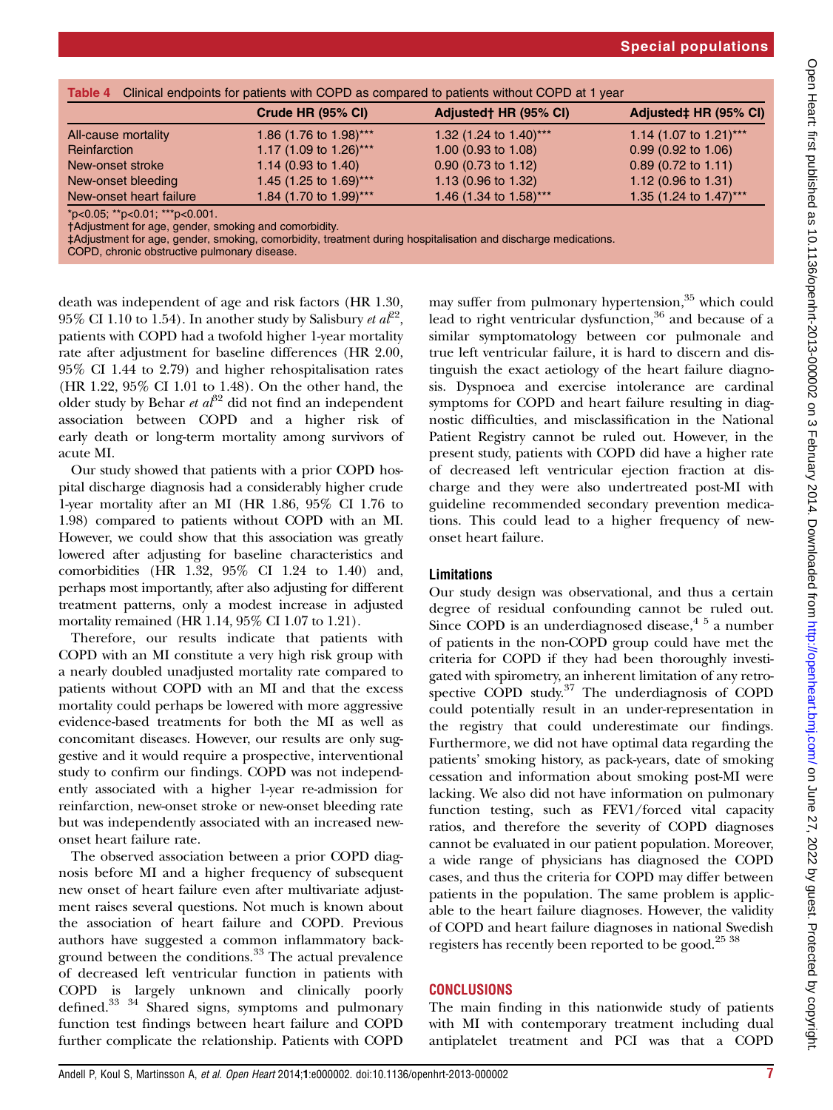| Table 4 Clinical endpoints for patients with COPD as compared to patients without COPD at 1 year |                                |                                |  |  |  |  |
|--------------------------------------------------------------------------------------------------|--------------------------------|--------------------------------|--|--|--|--|
| Crude HR (95% CI)                                                                                | Adjusted† HR (95% CI)          | Adjusted‡ HR (95% CI)          |  |  |  |  |
| 1.86 (1.76 to 1.98)***                                                                           | 1.32 (1.24 to 1.40)***         | 1.14 (1.07 to 1.21)***         |  |  |  |  |
| 1.17 (1.09 to 1.26)***                                                                           | 1.00 $(0.93 \text{ to } 1.08)$ | $0.99$ (0.92 to 1.06)          |  |  |  |  |
| 1.14 (0.93 to 1.40)                                                                              | 0.90 (0.73 to 1.12)            | $0.89$ (0.72 to 1.11)          |  |  |  |  |
| 1.45 (1.25 to 1.69)***                                                                           | 1.13 $(0.96 \text{ to } 1.32)$ | 1.12 $(0.96 \text{ to } 1.31)$ |  |  |  |  |
| 1.84 (1.70 to 1.99)***                                                                           | 1.46 (1.34 to 1.58)***         | 1.35 (1.24 to 1.47)***         |  |  |  |  |
|                                                                                                  |                                |                                |  |  |  |  |

\*p<0.05; \*\*p<0.01; \*\*\*p<0.001.

†Adjustment for age, gender, smoking and comorbidity.

‡Adjustment for age, gender, smoking, comorbidity, treatment during hospitalisation and discharge medications.

COPD, chronic obstructive pulmonary disease.

death was independent of age and risk factors (HR 1.30, 95% CI 1.10 to 1.54). In another study by Salisbury et  $aT^2$ , patients with COPD had a twofold higher 1-year mortality rate after adjustment for baseline differences (HR 2.00, 95% CI 1.44 to 2.79) and higher rehospitalisation rates (HR 1.22, 95% CI 1.01 to 1.48). On the other hand, the older study by Behar et  $a^{32}$  did not find an independent association between COPD and a higher risk of early death or long-term mortality among survivors of acute MI.

Our study showed that patients with a prior COPD hospital discharge diagnosis had a considerably higher crude 1-year mortality after an MI (HR 1.86, 95% CI 1.76 to 1.98) compared to patients without COPD with an MI. However, we could show that this association was greatly lowered after adjusting for baseline characteristics and comorbidities (HR 1.32, 95% CI 1.24 to 1.40) and, perhaps most importantly, after also adjusting for different treatment patterns, only a modest increase in adjusted mortality remained (HR 1.14, 95% CI 1.07 to 1.21).

Therefore, our results indicate that patients with COPD with an MI constitute a very high risk group with a nearly doubled unadjusted mortality rate compared to patients without COPD with an MI and that the excess mortality could perhaps be lowered with more aggressive evidence-based treatments for both the MI as well as concomitant diseases. However, our results are only suggestive and it would require a prospective, interventional study to confirm our findings. COPD was not independently associated with a higher 1-year re-admission for reinfarction, new-onset stroke or new-onset bleeding rate but was independently associated with an increased newonset heart failure rate.

The observed association between a prior COPD diagnosis before MI and a higher frequency of subsequent new onset of heart failure even after multivariate adjustment raises several questions. Not much is known about the association of heart failure and COPD. Previous authors have suggested a common inflammatory background between the conditions.<sup>33</sup> The actual prevalence of decreased left ventricular function in patients with COPD is largely unknown and clinically poorly defined.33 34 Shared signs, symptoms and pulmonary function test findings between heart failure and COPD further complicate the relationship. Patients with COPD

may suffer from pulmonary hypertension,<sup>35</sup> which could lead to right ventricular dysfunction,<sup>36</sup> and because of a similar symptomatology between cor pulmonale and true left ventricular failure, it is hard to discern and distinguish the exact aetiology of the heart failure diagnosis. Dyspnoea and exercise intolerance are cardinal symptoms for COPD and heart failure resulting in diagnostic difficulties, and misclassification in the National Patient Registry cannot be ruled out. However, in the present study, patients with COPD did have a higher rate of decreased left ventricular ejection fraction at discharge and they were also undertreated post-MI with guideline recommended secondary prevention medications. This could lead to a higher frequency of newonset heart failure.

## Limitations

Our study design was observational, and thus a certain degree of residual confounding cannot be ruled out. Since COPD is an underdiagnosed disease,  $4\frac{5}{2}$  a number of patients in the non-COPD group could have met the criteria for COPD if they had been thoroughly investigated with spirometry, an inherent limitation of any retrospective COPD study.<sup>37</sup> The underdiagnosis of COPD could potentially result in an under-representation in the registry that could underestimate our findings. Furthermore, we did not have optimal data regarding the patients' smoking history, as pack-years, date of smoking cessation and information about smoking post-MI were lacking. We also did not have information on pulmonary function testing, such as FEV1/forced vital capacity ratios, and therefore the severity of COPD diagnoses cannot be evaluated in our patient population. Moreover, a wide range of physicians has diagnosed the COPD cases, and thus the criteria for COPD may differ between patients in the population. The same problem is applicable to the heart failure diagnoses. However, the validity of COPD and heart failure diagnoses in national Swedish registers has recently been reported to be good.<sup>25</sup> <sup>38</sup>

## **CONCLUSIONS**

The main finding in this nationwide study of patients with MI with contemporary treatment including dual antiplatelet treatment and PCI was that a COPD